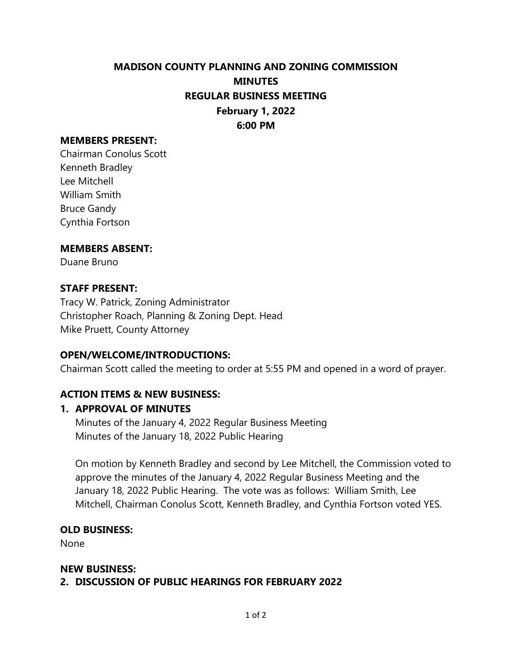# **MADISON COUNTY PLANNING AND ZONING COMMISSION MINUTES REGULAR BUSINESS MEETING February 1, 2022 6:00 PM**

### **MEMBERS PRESENT:**

Chairman Conolus Scott Kenneth Bradley Lee Mitchell William Smith Bruce Gandy Cynthia Fortson

#### **MEMBERS ABSENT:**

Duane Bruno

### **STAFF PRESENT:**

Tracy W. Patrick, Zoning Administrator Christopher Roach, Planning & Zoning Dept. Head Mike Pruett, County Attorney

### **OPEN/WELCOME/INTRODUCTIONS:**

Chairman Scott called the meeting to order at 5:55 PM and opened in a word of prayer.

### **ACTION ITEMS & NEW BUSINESS:**

### **1. APPROVAL OF MINUTES**

Minutes of the January 4, 2022 Regular Business Meeting Minutes of the January 18, 2022 Public Hearing

On motion by Kenneth Bradley and second by Lee Mitchell, the Commission voted to approve the minutes of the January 4, 2022 Regular Business Meeting and the January 18, 2022 Public Hearing. The vote was as follows: William Smith, Lee Mitchell, Chairman Conolus Scott, Kenneth Bradley, and Cynthia Fortson voted YES.

### **OLD BUSINESS:**

None

### **NEW BUSINESS:**

**2. DISCUSSION OF PUBLIC HEARINGS FOR FEBRUARY 2022**